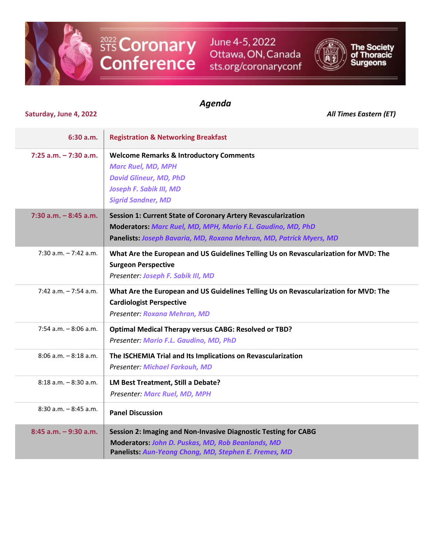

STS Coronary<br>Conference

June 4-5, 2022 Ottawa, ON, Canada sts.org/coronaryconf



The Society<br>of Thoracic<br>Surgeons

## *Agenda*

## **Saturday, June 4, 2022** *All Times Eastern (ET)*

| 6:30 a.m.                | <b>Registration &amp; Networking Breakfast</b>                                                                                                                                                             |
|--------------------------|------------------------------------------------------------------------------------------------------------------------------------------------------------------------------------------------------------|
| $7:25$ a.m. $-7:30$ a.m. | <b>Welcome Remarks &amp; Introductory Comments</b><br><b>Marc Ruel, MD, MPH</b><br><b>David Glineur, MD, PhD</b><br>Joseph F. Sabik III, MD<br><b>Sigrid Sandner, MD</b>                                   |
| $7:30$ a.m. $-8:45$ a.m. | <b>Session 1: Current State of Coronary Artery Revascularization</b><br>Moderators: Marc Ruel, MD, MPH, Mario F.L. Gaudino, MD, PhD<br>Panelists: Joseph Bavaria, MD, Roxana Mehran, MD, Patrick Myers, MD |
| $7:30$ a.m. $-7:42$ a.m. | What Are the European and US Guidelines Telling Us on Revascularization for MVD: The<br><b>Surgeon Perspective</b><br>Presenter: Joseph F. Sabik III, MD                                                   |
| $7:42$ a.m. $-7:54$ a.m. | What Are the European and US Guidelines Telling Us on Revascularization for MVD: The<br><b>Cardiologist Perspective</b><br>Presenter: Roxana Mehran, MD                                                    |
| $7:54$ a.m. $-8:06$ a.m. | <b>Optimal Medical Therapy versus CABG: Resolved or TBD?</b><br>Presenter: Mario F.L. Gaudino, MD, PhD                                                                                                     |
| $8:06$ a.m. $-8:18$ a.m. | The ISCHEMIA Trial and Its Implications on Revascularization<br><b>Presenter: Michael Farkouh, MD</b>                                                                                                      |
| $8:18$ a.m. $-8:30$ a.m. | LM Best Treatment, Still a Debate?<br><b>Presenter: Marc Ruel, MD, MPH</b>                                                                                                                                 |
| $8:30$ a.m. $-8:45$ a.m. | <b>Panel Discussion</b>                                                                                                                                                                                    |
| $8:45$ a.m. $-9:30$ a.m. | Session 2: Imaging and Non-Invasive Diagnostic Testing for CABG<br>Moderators: John D. Puskas, MD, Rob Beanlands, MD<br>Panelists: Aun-Yeong Chong, MD, Stephen E. Fremes, MD                              |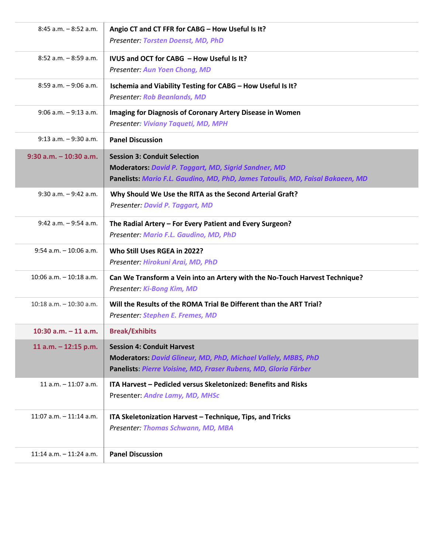| $8:45$ a.m. $-8:52$ a.m.    | Angio CT and CT FFR for CABG - How Useful Is It?<br>Presenter: Torsten Doenst, MD, PhD                                                                                               |
|-----------------------------|--------------------------------------------------------------------------------------------------------------------------------------------------------------------------------------|
| $8:52$ a.m. $-8:59$ a.m.    | IVUS and OCT for CABG - How Useful Is It?<br><b>Presenter: Aun Yoen Chong, MD</b>                                                                                                    |
| $8:59$ a.m. $-9:06$ a.m.    | Ischemia and Viability Testing for CABG - How Useful Is It?<br><b>Presenter: Rob Beanlands, MD</b>                                                                                   |
| $9:06$ a.m. $-9:13$ a.m.    | Imaging for Diagnosis of Coronary Artery Disease in Women<br>Presenter: Viviany Taqueti, MD, MPH                                                                                     |
| $9:13$ a.m. $-9:30$ a.m.    | <b>Panel Discussion</b>                                                                                                                                                              |
| $9:30$ a.m. $-10:30$ a.m.   | <b>Session 3: Conduit Selection</b><br><b>Moderators: David P. Taggart, MD, Sigrid Sandner, MD</b><br>Panelists: Mario F.L. Gaudino, MD, PhD, James Tatoulis, MD, Faisal Bakaeen, MD |
| $9:30$ a.m. $-9:42$ a.m.    | Why Should We Use the RITA as the Second Arterial Graft?<br>Presenter: David P. Taggart, MD                                                                                          |
| $9:42$ a.m. $-9:54$ a.m.    | The Radial Artery - For Every Patient and Every Surgeon?<br>Presenter: Mario F.L. Gaudino, MD, PhD                                                                                   |
| $9:54$ a.m. $-10:06$ a.m.   | Who Still Uses RGEA in 2022?<br>Presenter: Hirokuni Arai, MD, PhD                                                                                                                    |
| $10:06$ a.m. $-10:18$ a.m.  | Can We Transform a Vein into an Artery with the No-Touch Harvest Technique?<br>Presenter: Ki-Bong Kim, MD                                                                            |
| $10:18$ a.m. $-10:30$ a.m.  | Will the Results of the ROMA Trial Be Different than the ART Trial?<br>Presenter: Stephen E. Fremes, MD                                                                              |
| 10:30 $a.m. - 11 a.m.$      | <b>Break/Exhibits</b>                                                                                                                                                                |
| 11 a.m. $-$ 12:15 p.m.      | <b>Session 4: Conduit Harvest</b><br>Moderators: David Glineur, MD, PhD, Michael Vallely, MBBS, PhD<br>Panelists: Pierre Voisine, MD, Fraser Rubens, MD, Gloria Färber               |
| $11$ a.m. $-11:07$ a.m.     | ITA Harvest - Pedicled versus Skeletonized: Benefits and Risks<br>Presenter: Andre Lamy, MD, MHSc                                                                                    |
| $11:07$ a.m. $-11:14$ a.m.  | ITA Skeletonization Harvest - Technique, Tips, and Tricks<br>Presenter: Thomas Schwann, MD, MBA                                                                                      |
| 11:14 $a.m. - 11:24$ $a.m.$ | <b>Panel Discussion</b>                                                                                                                                                              |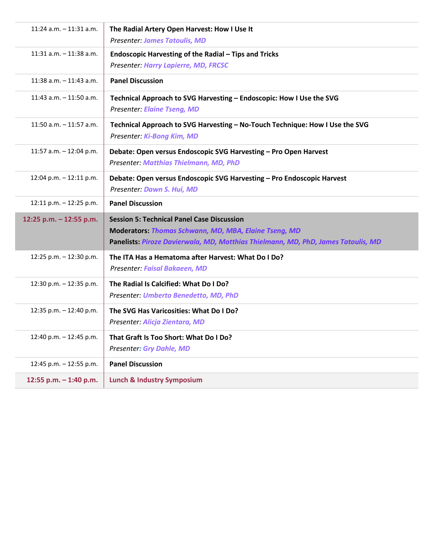| $11:24$ a.m. $-11:31$ a.m. | The Radial Artery Open Harvest: How I Use It<br><b>Presenter: James Tatoulis, MD</b>                                                                                                            |
|----------------------------|-------------------------------------------------------------------------------------------------------------------------------------------------------------------------------------------------|
| $11:31$ a.m. $-11:38$ a.m. | Endoscopic Harvesting of the Radial - Tips and Tricks<br>Presenter: Harry Lapierre, MD, FRCSC                                                                                                   |
| $11:38$ a.m. $-11:43$ a.m. | <b>Panel Discussion</b>                                                                                                                                                                         |
| $11:43$ a.m. $-11:50$ a.m. | Technical Approach to SVG Harvesting - Endoscopic: How I Use the SVG<br><b>Presenter: Elaine Tseng, MD</b>                                                                                      |
| $11:50$ a.m. $-11:57$ a.m. | Technical Approach to SVG Harvesting - No-Touch Technique: How I Use the SVG<br>Presenter: Ki-Bong Kim, MD                                                                                      |
| 11:57 a.m. $-$ 12:04 p.m.  | Debate: Open versus Endoscopic SVG Harvesting - Pro Open Harvest<br>Presenter: Matthias Thielmann, MD, PhD                                                                                      |
| 12:04 p.m. - 12:11 p.m.    | Debate: Open versus Endoscopic SVG Harvesting - Pro Endoscopic Harvest<br>Presenter: Dawn S. Hui, MD                                                                                            |
| 12:11 p.m. $-$ 12:25 p.m.  | <b>Panel Discussion</b>                                                                                                                                                                         |
| 12:25 p.m. - 12:55 p.m.    | <b>Session 5: Technical Panel Case Discussion</b><br>Moderators: Thomas Schwann, MD, MBA, Elaine Tseng, MD<br>Panelists: Piroze Davierwala, MD, Matthias Thielmann, MD, PhD, James Tatoulis, MD |
| 12:25 p.m. - 12:30 p.m.    | The ITA Has a Hematoma after Harvest: What Do I Do?<br>Presenter: Faisal Bakaeen, MD                                                                                                            |
| 12:30 p.m. - 12:35 p.m.    | The Radial Is Calcified: What Do I Do?<br>Presenter: Umberto Benedetto, MD, PhD                                                                                                                 |
| 12:35 p.m. - 12:40 p.m.    | The SVG Has Varicosities: What Do I Do?<br>Presenter: Alicja Zientara, MD                                                                                                                       |
| 12:40 p.m. $-$ 12:45 p.m.  | That Graft Is Too Short: What Do I Do?<br><b>Presenter: Gry Dahle, MD</b>                                                                                                                       |
| 12:45 p.m. - 12:55 p.m.    | <b>Panel Discussion</b>                                                                                                                                                                         |
| 12:55 p.m. $-$ 1:40 p.m.   | <b>Lunch &amp; Industry Symposium</b>                                                                                                                                                           |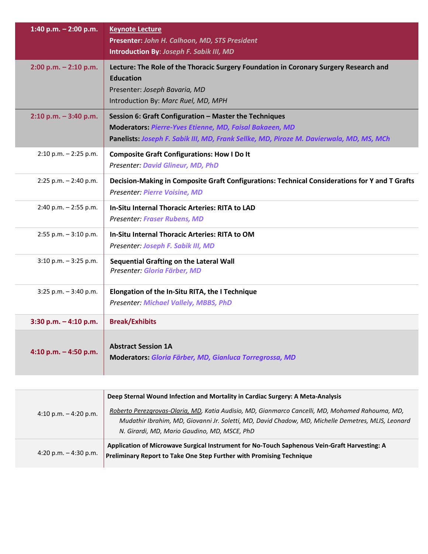| 1:40 p.m. $-$ 2:00 p.m.   | <b>Keynote Lecture</b><br>Presenter: John H. Calhoon, MD, STS President<br>Introduction By: Joseph F. Sabik III, MD                                                                                                 |
|---------------------------|---------------------------------------------------------------------------------------------------------------------------------------------------------------------------------------------------------------------|
| $2:00$ p.m. $-2:10$ p.m.  | Lecture: The Role of the Thoracic Surgery Foundation in Coronary Surgery Research and<br><b>Education</b><br>Presenter: Joseph Bavaria, MD<br>Introduction By: Marc Ruel, MD, MPH                                   |
| $2:10$ p.m. $-3:40$ p.m.  | Session 6: Graft Configuration - Master the Techniques<br><b>Moderators: Pierre-Yves Etienne, MD, Faisal Bakaeen, MD</b><br>Panelists: Joseph F. Sabik III, MD, Frank Sellke, MD, Piroze M. Davierwala, MD, MS, MCh |
| $2:10$ p.m. $-2:25$ p.m.  | <b>Composite Graft Configurations: How I Do It</b><br><b>Presenter: David Glineur, MD, PhD</b>                                                                                                                      |
| $2:25$ p.m. $- 2:40$ p.m. | Decision-Making in Composite Graft Configurations: Technical Considerations for Y and T Grafts<br><b>Presenter: Pierre Voisine, MD</b>                                                                              |
| $2:40$ p.m. $-2:55$ p.m.  | In-Situ Internal Thoracic Arteries: RITA to LAD<br><b>Presenter: Fraser Rubens, MD</b>                                                                                                                              |
| $2:55$ p.m. $-3:10$ p.m.  | In-Situ Internal Thoracic Arteries: RITA to OM<br>Presenter: Joseph F. Sabik III, MD                                                                                                                                |
| $3:10$ p.m. $-3:25$ p.m.  | <b>Sequential Grafting on the Lateral Wall</b><br>Presenter: Gloria Färber, MD                                                                                                                                      |
| $3:25$ p.m. $-3:40$ p.m.  | Elongation of the In-Situ RITA, the I Technique<br><b>Presenter: Michael Vallely, MBBS, PhD</b>                                                                                                                     |
| $3:30$ p.m. $-4:10$ p.m.  | <b>Break/Exhibits</b>                                                                                                                                                                                               |
| 4:10 p.m. $-$ 4:50 p.m.   | <b>Abstract Session 1A</b><br>Moderators: Gloria Färber, MD, Gianluca Torregrossa, MD                                                                                                                               |
|                           |                                                                                                                                                                                                                     |
|                           | Deep Sternal Wound Infection and Mortality in Cardiac Surgery: A Meta-Analysis                                                                                                                                      |

| 4:10 p.m. $-$ 4:20 p.m. | Roberto Perezgrovas-Olaria, MD, Katia Audisio, MD, Gianmarco Cancelli, MD, Mohamed Rahouma, MD,<br>Mudathir Ibrahim, MD, Giovanni Jr. Soletti, MD, David Chadow, MD, Michelle Demetres, MLIS, Leonard<br>N. Girardi, MD, Mario Gaudino, MD, MSCE, PhD |
|-------------------------|-------------------------------------------------------------------------------------------------------------------------------------------------------------------------------------------------------------------------------------------------------|
| 4:20 p.m. $-$ 4:30 p.m. | Application of Microwave Surgical Instrument for No-Touch Saphenous Vein-Graft Harvesting: A<br><b>Preliminary Report to Take One Step Further with Promising Technique</b>                                                                           |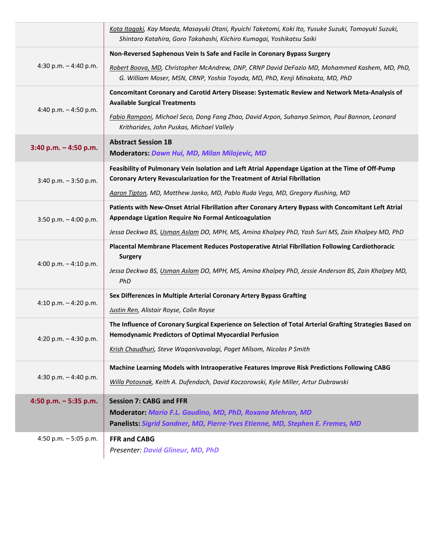|                          | Kota Itagaki, Kay Maeda, Masayuki Otani, Ryuichi Taketomi, Koki Ito, Yusuke Suzuki, Tomoyuki Suzuki,<br>Shintaro Katahira, Goro Takahashi, Kiichiro Kumagai, Yoshikatsu Saiki    |
|--------------------------|----------------------------------------------------------------------------------------------------------------------------------------------------------------------------------|
| 4:30 p.m. $-$ 4:40 p.m.  | Non-Reversed Saphenous Vein Is Safe and Facile in Coronary Bypass Surgery                                                                                                        |
|                          | Robert Boova, MD, Christopher McAndrew, DNP, CRNP David DeFazio MD, Mohammed Kashem, MD, PhD,<br>G. William Moser, MSN, CRNP, Yoshia Toyoda, MD, PhD, Kenji Minakata, MD, PhD    |
| 4:40 p.m. $-$ 4:50 p.m.  | Concomitant Coronary and Carotid Artery Disease: Systematic Review and Network Meta-Analysis of<br><b>Available Surgical Treatments</b>                                          |
|                          | Fabio Ramponi, Michael Seco, Dong Fang Zhao, David Arpon, Suhanya Seimon, Paul Bannon, Leonard<br>Kritharides, John Puskas, Michael Vallely                                      |
| $3:40$ p.m. $-4:50$ p.m. | <b>Abstract Session 1B</b><br>Moderators: Dawn Hui, MD, Milan Milojevic, MD                                                                                                      |
| $3:40$ p.m. $-3:50$ p.m. | Feasibility of Pulmonary Vein Isolation and Left Atrial Appendage Ligation at the Time of Off-Pump<br>Coronary Artery Revascularization for the Treatment of Atrial Fibrillation |
|                          | Aaron Tipton, MD, Matthew Janko, MD, Pablo Ruda Vega, MD, Gregory Rushing, MD                                                                                                    |
| 3:50 p.m. $-4:00$ p.m.   | Patients with New-Onset Atrial Fibrillation after Coronary Artery Bypass with Concomitant Left Atrial<br>Appendage Ligation Require No Formal Anticoagulation                    |
|                          | Jessa Deckwa BS, Usman Aslam DO, MPH, MS, Amina Khalpey PhD, Yash Suri MS, Zain Khalpey MD, PhD                                                                                  |
| 4:00 p.m. $-$ 4:10 p.m.  | Placental Membrane Placement Reduces Postoperative Atrial Fibrillation Following Cardiothoracic<br><b>Surgery</b>                                                                |
|                          | Jessa Deckwa BS, Usman Aslam DO, MPH, MS, Amina Khalpey PhD, Jessie Anderson BS, Zain Khalpey MD,<br>PhD                                                                         |
|                          | Sex Differences in Multiple Arterial Coronary Artery Bypass Grafting                                                                                                             |
| 4:10 p.m. $-$ 4:20 p.m.  | Justin Ren, Alistair Royse, Colin Royse                                                                                                                                          |
| 4:20 p.m. $-$ 4:30 p.m.  | The Influence of Coronary Surgical Experience on Selection of Total Arterial Grafting Strategies Based on<br>Hemodynamic Predictors of Optimal Myocardial Perfusion              |
|                          | Krish Chaudhuri, Steve Waganivavalagi, Paget Milsom, Nicolas P Smith                                                                                                             |
|                          | Machine Learning Models with Intraoperative Features Improve Risk Predictions Following CABG                                                                                     |
| 4:30 p.m. $-$ 4:40 p.m.  | Willa Potosnak, Keith A. Dufendach, David Kaczorowski, Kyle Miller, Artur Dubrawski                                                                                              |
| 4:50 p.m. $-5:35$ p.m.   | <b>Session 7: CABG and FFR</b>                                                                                                                                                   |
|                          | Moderator: Mario F.L. Gaudino, MD, PhD, Roxana Mehran, MD                                                                                                                        |
|                          | Panelists: Sigrid Sandner, MD, Pierre-Yves Etienne, MD, Stephen E. Fremes, MD                                                                                                    |
| 4:50 p.m. $-5:05$ p.m.   | <b>FFR and CABG</b>                                                                                                                                                              |
|                          | <b>Presenter: David Glineur, MD, PhD</b>                                                                                                                                         |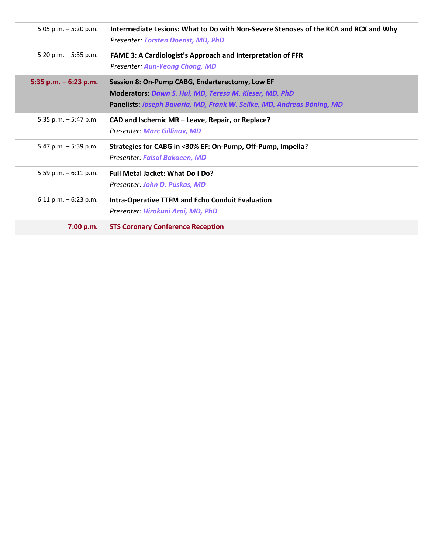| 5:05 p.m. $-5:20$ p.m.   | Intermediate Lesions: What to Do with Non-Severe Stenoses of the RCA and RCX and Why<br>Presenter: Torsten Doenst, MD, PhD                                                          |
|--------------------------|-------------------------------------------------------------------------------------------------------------------------------------------------------------------------------------|
| 5:20 p.m. $-5:35$ p.m.   | <b>FAME 3: A Cardiologist's Approach and Interpretation of FFR</b><br><b>Presenter: Aun-Yeong Chong, MD</b>                                                                         |
| 5:35 p.m. $-6:23$ p.m.   | Session 8: On-Pump CABG, Endarterectomy, Low EF<br>Moderators: Dawn S. Hui, MD, Teresa M. Kieser, MD, PhD<br>Panelists: Joseph Bavaria, MD, Frank W. Sellke, MD, Andreas Böning, MD |
| 5:35 p.m. $-$ 5:47 p.m.  | CAD and Ischemic MR - Leave, Repair, or Replace?<br><b>Presenter: Marc Gillinov, MD</b>                                                                                             |
| 5:47 p.m. $-5:59$ p.m.   | Strategies for CABG in <30% EF: On-Pump, Off-Pump, Impella?<br>Presenter: Faisal Bakaeen, MD                                                                                        |
| 5:59 p.m. $-6:11$ p.m.   | Full Metal Jacket: What Do I Do?<br>Presenter: John D. Puskas, MD                                                                                                                   |
| $6:11$ p.m. $-6:23$ p.m. | <b>Intra-Operative TTFM and Echo Conduit Evaluation</b><br>Presenter: Hirokuni Arai, MD, PhD                                                                                        |
| 7:00 p.m.                | <b>STS Coronary Conference Reception</b>                                                                                                                                            |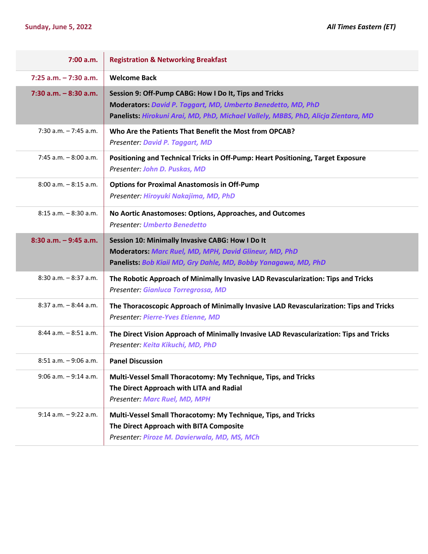| 7:00 a.m.                | <b>Registration &amp; Networking Breakfast</b>                                                                                                                                                               |
|--------------------------|--------------------------------------------------------------------------------------------------------------------------------------------------------------------------------------------------------------|
| $7:25$ a.m. $-7:30$ a.m. | <b>Welcome Back</b>                                                                                                                                                                                          |
| $7:30$ a.m. $-8:30$ a.m. | Session 9: Off-Pump CABG: How I Do It, Tips and Tricks<br>Moderators: David P. Taggart, MD, Umberto Benedetto, MD, PhD<br>Panelists: Hirokuni Arai, MD, PhD, Michael Vallely, MBBS, PhD, Alicja Zientara, MD |
| $7:30$ a.m. $-7:45$ a.m. | Who Are the Patients That Benefit the Most from OPCAB?<br>Presenter: David P. Taggart, MD                                                                                                                    |
| $7:45$ a.m. $-8:00$ a.m. | Positioning and Technical Tricks in Off-Pump: Heart Positioning, Target Exposure<br>Presenter: John D. Puskas, MD                                                                                            |
| $8:00$ a.m. $-8:15$ a.m. | <b>Options for Proximal Anastomosis in Off-Pump</b><br>Presenter: Hiroyuki Nakajima, MD, PhD                                                                                                                 |
| $8:15$ a.m. $-8:30$ a.m. | No Aortic Anastomoses: Options, Approaches, and Outcomes<br><b>Presenter. Umberto Benedetto</b>                                                                                                              |
| $8:30$ a.m. $-9:45$ a.m. | Session 10: Minimally Invasive CABG: How I Do It<br>Moderators: Marc Ruel, MD, MPH, David Glineur, MD, PhD<br>Panelists: Bob Kiaii MD, Gry Dahle, MD, Bobby Yanagawa, MD, PhD                                |
| $8:30$ a.m. $-8:37$ a.m. | The Robotic Approach of Minimally Invasive LAD Revascularization: Tips and Tricks<br>Presenter: Gianluca Torregrossa, MD                                                                                     |
| $8:37$ a.m. $-8:44$ a.m. | The Thoracoscopic Approach of Minimally Invasive LAD Revascularization: Tips and Tricks<br>Presenter: Pierre-Yves Etienne, MD                                                                                |
| $8:44$ a.m. $-8:51$ a.m. | The Direct Vision Approach of Minimally Invasive LAD Revascularization: Tips and Tricks<br>Presenter: Keita Kikuchi, MD, PhD                                                                                 |
| $8:51$ a.m. $-9:06$ a.m. | <b>Panel Discussion</b>                                                                                                                                                                                      |
| $9:06$ a.m. $-9:14$ a.m. | Multi-Vessel Small Thoracotomy: My Technique, Tips, and Tricks<br>The Direct Approach with LITA and Radial<br>Presenter: Marc Ruel, MD, MPH                                                                  |
| $9:14$ a.m. $-9:22$ a.m. | Multi-Vessel Small Thoracotomy: My Technique, Tips, and Tricks<br>The Direct Approach with BITA Composite<br>Presenter: Piroze M. Davierwala, MD, MS, MCh                                                    |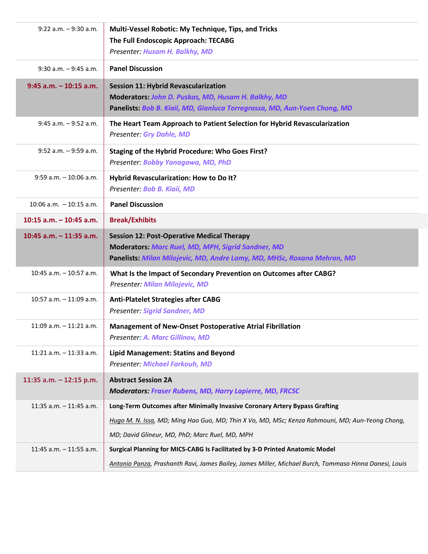| $9:22$ a.m. $-9:30$ a.m.   | Multi-Vessel Robotic: My Technique, Tips, and Tricks<br>The Full Endoscopic Approach: TECABG<br>Presenter: Husam H. Balkhy, MD                                                     |
|----------------------------|------------------------------------------------------------------------------------------------------------------------------------------------------------------------------------|
| $9:30$ a.m. $-9:45$ a.m.   | <b>Panel Discussion</b>                                                                                                                                                            |
| $9:45$ a.m. $-10:15$ a.m.  | <b>Session 11: Hybrid Revascularization</b><br>Moderators: John D. Puskas, MD, Husam H. Balkhy, MD<br>Panelists: Bob B. Kiaii, MD, Gianluca Torregrossa, MD, Aun-Yoen Chong, MD    |
| $9:45$ a.m. $-9:52$ a.m.   | The Heart Team Approach to Patient Selection for Hybrid Revascularization<br><b>Presenter: Gry Dahle, MD</b>                                                                       |
| $9:52$ a.m. $-9:59$ a.m.   | <b>Staging of the Hybrid Procedure: Who Goes First?</b><br>Presenter: Bobby Yanagawa, MD, PhD                                                                                      |
| $9:59$ a.m. $-10:06$ a.m.  | Hybrid Revascularization: How to Do It?<br>Presenter: Bob B. Kiaii, MD                                                                                                             |
| $10:06$ a.m. $-10:15$ a.m. | <b>Panel Discussion</b>                                                                                                                                                            |
| $10:15$ a.m. $-10:45$ a.m. | <b>Break/Exhibits</b>                                                                                                                                                              |
| 10:45 $a.m. - 11:35 a.m.$  | <b>Session 12: Post-Operative Medical Therapy</b><br>Moderators: Marc Ruel, MD, MPH, Sigrid Sandner, MD<br>Panelists: Milan Milojevic, MD, Andre Lamy, MD, MHSc, Roxana Mehran, MD |
| $10:45$ a.m. $-10:57$ a.m. | What Is the Impact of Secondary Prevention on Outcomes after CABG?<br>Presenter: Milan Milojevic, MD                                                                               |
| 10:57 a.m. $-11:09$ a.m.   | <b>Anti-Platelet Strategies after CABG</b><br><b>Presenter: Sigrid Sandner, MD</b>                                                                                                 |
| $11:09$ a.m. $-11:21$ a.m. | Management of New-Onset Postoperative Atrial Fibrillation<br>Presenter: A. Marc Gillinov, MD                                                                                       |
| 11:21 a.m. $-11:33$ a.m.   | <b>Lipid Management: Statins and Beyond</b><br><b>Presenter: Michael Farkouh, MD</b>                                                                                               |
| 11:35 a.m. - 12:15 p.m.    | <b>Abstract Session 2A</b><br><b>Moderators: Fraser Rubens, MD, Harry Lapierre, MD, FRCSC</b>                                                                                      |
| 11:35 a.m. $-$ 11:45 a.m.  | Long-Term Outcomes after Minimally Invasive Coronary Artery Bypass Grafting                                                                                                        |
|                            | Hugo M. N. Issa, MD; Ming Hao Guo, MD; Thin X Vo, MD, MSc; Kenza Rahmouni, MD; Aun-Yeong Chong,                                                                                    |
|                            | MD; David Glineur, MD, PhD; Marc Ruel, MD, MPH                                                                                                                                     |
| 11:45 a.m. $-$ 11:55 a.m.  | Surgical Planning for MICS-CABG Is Facilitated by 3-D Printed Anatomic Model                                                                                                       |
|                            | Antonio Panza, Prashanth Ravi, James Bailey, James Miller, Michael Burch, Tommaso Hinna Danesi, Louis                                                                              |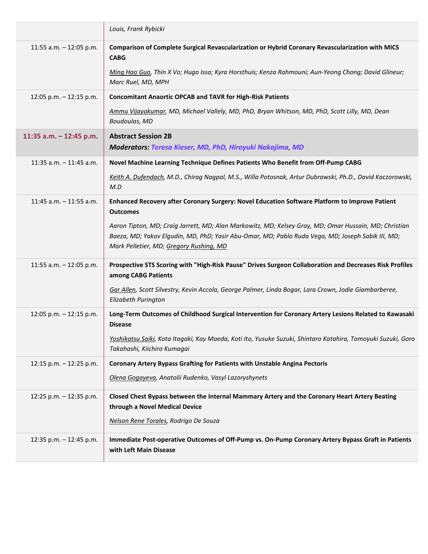|                            | Louis, Frank Rybicki                                                                                                                                                                                                                                  |
|----------------------------|-------------------------------------------------------------------------------------------------------------------------------------------------------------------------------------------------------------------------------------------------------|
| 11:55 a.m. - 12:05 p.m.    | Comparison of Complete Surgical Revascularization or Hybrid Coronary Revascularization with MICS<br><b>CABG</b>                                                                                                                                       |
|                            | Ming Hao Guo, Thin X Vo; Hugo Issa; Kyra Horsthuis; Kenza Rahmouni; Aun-Yeong Chong; David Glineur;<br>Marc Ruel, MD, MPH                                                                                                                             |
| 12:05 p.m. $-$ 12:15 p.m.  | <b>Concomitant Anaortic OPCAB and TAVR for High-Risk Patients</b>                                                                                                                                                                                     |
|                            | Ammu Vijayakumar, MD, Michael Vallely, MD, PhD, Bryan Whitson, MD, PhD, Scott Lilly, MD, Dean<br>Boudoulas, MD                                                                                                                                        |
| 11:35 a.m. - 12:45 p.m.    | <b>Abstract Session 2B</b>                                                                                                                                                                                                                            |
|                            | Moderators: Teresa Kieser, MD, PhD, Hiroyuki Nakajima, MD                                                                                                                                                                                             |
| 11:35 a.m. $-$ 11:45 a.m.  | Novel Machine Learning Technique Defines Patients Who Benefit from Off-Pump CABG                                                                                                                                                                      |
|                            | Keith A. Dufendach, M.D., Chirag Nagpal, M.S., Willa Potosnak, Artur Dubrawski, Ph.D., David Kaczorowski,<br>M.D                                                                                                                                      |
| $11:45$ a.m. $-11:55$ a.m. | Enhanced Recovery after Coronary Surgery: Novel Education Software Platform to Improve Patient<br><b>Outcomes</b>                                                                                                                                     |
|                            | Aaron Tipton, MD; Craig Jarrett, MD; Alan Markowitz, MD; Kelsey Gray, MD; Omar Hussain, MD; Christian<br>Baeza, MD; Yakov Elgudin, MD, PhD; Yasir Abu-Omar, MD; Pablo Ruda Vega, MD; Joseph Sabik III, MD;<br>Mark Pelletier, MD; Gregory Rushing, MD |
| 11:55 a.m. $-$ 12:05 p.m.  | Prospective STS Scoring with "High-Risk Pause" Drives Surgeon Collaboration and Decreases Risk Profiles<br>among CABG Patients                                                                                                                        |
|                            | Gar Allen, Scott Silvestry, Kevin Accola, George Palmer, Linda Bogar, Lara Crown, Jodie Giambarberee,<br>Elizabeth Purington                                                                                                                          |
| 12:05 p.m. $-$ 12:15 p.m.  | Long-Term Outcomes of Childhood Surgical Intervention for Coronary Artery Lesions Related to Kawasaki<br><b>Disease</b>                                                                                                                               |
|                            | Yoshikatsu Saiki, Kota Itagaki, Kay Maeda, Koti Ito, Yusuke Suzuki, Shintaro Katahira, Tomoyuki Suzuki, Goro<br>Takahashi, Kiichiro Kumagai                                                                                                           |
| 12:15 p.m. $-$ 12:25 p.m.  | <b>Coronary Artery Bypass Grafting for Patients with Unstable Angina Pectoris</b>                                                                                                                                                                     |
|                            | Olena Gogayeva, Anatolii Rudenko, Vasyl Lazoryshynets                                                                                                                                                                                                 |
| 12:25 p.m. - 12:35 p.m.    | Closed Chest Bypass between the Internal Mammary Artery and the Coronary Heart Artery Beating<br>through a Novel Medical Device                                                                                                                       |
|                            | Nelson Rene Torales, Rodrigo De Souza                                                                                                                                                                                                                 |
| 12:35 p.m. - 12:45 p.m.    | Immediate Post-operative Outcomes of Off-Pump vs. On-Pump Coronary Artery Bypass Graft in Patients<br>with Left Main Disease                                                                                                                          |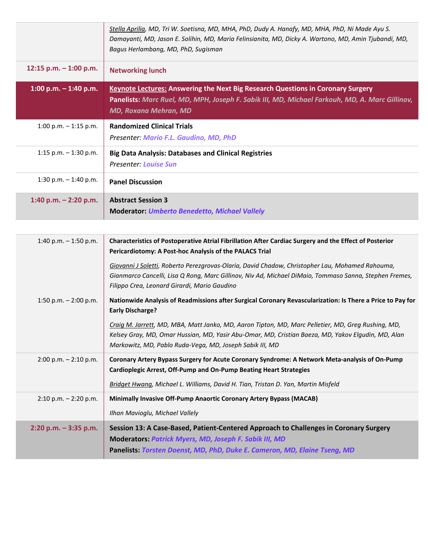|                          | Stella Aprilia, MD, Tri W. Soetisna, MD, MHA, PhD, Dudy A. Hanafy, MD, MHA, PhD, Ni Made Ayu S.<br>Damayanti, MD, Jason E. Solihin, MD, Maria Felinsianita, MD, Dicky A. Wartono, MD, Amin Tjubandi, MD,<br>Bagus Herlambang, MD, PhD, Sugisman |
|--------------------------|-------------------------------------------------------------------------------------------------------------------------------------------------------------------------------------------------------------------------------------------------|
| 12:15 p.m. $-$ 1:00 p.m. | <b>Networking lunch</b>                                                                                                                                                                                                                         |
| 1:00 p.m. $-$ 1:40 p.m.  | <b>Keynote Lectures: Answering the Next Big Research Questions in Coronary Surgery</b><br>Panelists: Marc Ruel, MD, MPH, Joseph F. Sabik III, MD, Michael Farkouh, MD, A. Marc Gillinov,<br><b>MD, Roxana Mehran, MD</b>                        |
| 1:00 p.m. $-$ 1:15 p.m.  | <b>Randomized Clinical Trials</b><br>Presenter: Mario F.L. Gaudino, MD, PhD                                                                                                                                                                     |
| 1:15 p.m. $-$ 1:30 p.m.  | <b>Big Data Analysis: Databases and Clinical Registries</b><br><b>Presenter: Louise Sun</b>                                                                                                                                                     |
| 1:30 p.m. $-$ 1:40 p.m.  | <b>Panel Discussion</b>                                                                                                                                                                                                                         |
| 1:40 p.m. $-$ 2:20 p.m.  | <b>Abstract Session 3</b><br><b>Moderator: Umberto Benedetto, Michael Vallely</b>                                                                                                                                                               |

| 1:40 p.m. $-$ 1:50 p.m.  | Characteristics of Postoperative Atrial Fibrillation After Cardiac Surgery and the Effect of Posterior<br>Pericardiotomy: A Post-hoc Analysis of the PALACS Trial                                                                                                    |
|--------------------------|----------------------------------------------------------------------------------------------------------------------------------------------------------------------------------------------------------------------------------------------------------------------|
|                          | Giovanni J Soletti, Roberto Perezgrovas-Olaria, David Chadow, Christopher Lau, Mohamed Rahouma,<br>Gianmarco Cancelli, Lisa Q Rong, Marc Gillinov, Niv Ad, Michael DiMaio, Tommaso Sanna, Stephen Fremes,<br>Filippo Crea, Leonard Girardi, Mario Gaudino            |
| 1:50 p.m. $- 2:00$ p.m.  | Nationwide Analysis of Readmissions after Surgical Coronary Revascularization: Is There a Price to Pay for<br><b>Early Discharge?</b>                                                                                                                                |
|                          | Craig M. Jarrett, MD, MBA, Matt Janko, MD, Aaron Tipton, MD, Marc Pelletier, MD, Greg Rushing, MD,<br>Kelsey Gray, MD, Omar Hussian, MD, Yasir Abu-Omar, MD, Cristian Baeza, MD, Yakov Elgudin, MD, Alan<br>Markowitz, MD, Pablo Ruda-Vega, MD, Joseph Sabik III, MD |
| $2:00$ p.m. $-2:10$ p.m. | Coronary Artery Bypass Surgery for Acute Coronary Syndrome: A Network Meta-analysis of On-Pump<br><b>Cardioplegic Arrest, Off-Pump and On-Pump Beating Heart Strategies</b><br>Bridget Hwang, Michael L. Williams, David H. Tian, Tristan D. Yan, Martin Misfeld     |
| $2:10$ p.m. $-2:20$ p.m. | Minimally Invasive Off-Pump Anaortic Coronary Artery Bypass (MACAB)<br>Ilhan Mavioglu, Michael Vallely                                                                                                                                                               |
| $2:20$ p.m. $-3:35$ p.m. | Session 13: A Case-Based, Patient-Centered Approach to Challenges in Coronary Surgery<br><b>Moderators: Patrick Myers, MD, Joseph F. Sabik III, MD</b><br>Panelists: Torsten Doenst, MD, PhD, Duke E. Cameron, MD, Elaine Tseng, MD                                  |